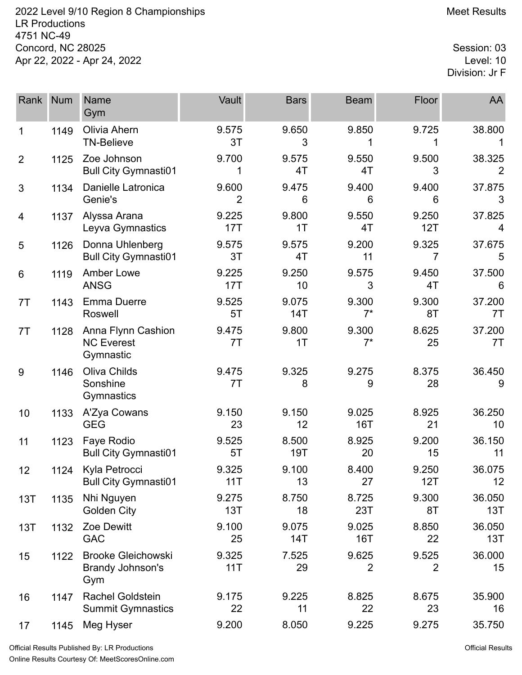2022 Level 9/10 Region 8 Championships **Meet Results** Meet Results LR Productions 4751 NC-49 Concord, NC 28025 Session: 03<br>Apr 22, 2022 - Apr 24, 2022 Apr 22, 2022 - Apr 24, 2022

Division: Jr F

| Rank           | <b>Num</b> | Name<br>Gym                                          | Vault                   | <b>Bars</b>  | <b>Beam</b>             | <b>Floor</b>            | AA            |
|----------------|------------|------------------------------------------------------|-------------------------|--------------|-------------------------|-------------------------|---------------|
| 1              | 1149       | Olivia Ahern<br><b>TN-Believe</b>                    | 9.575<br>3T             | 9.650<br>3   | 9.850                   | 9.725                   | 38.800        |
| $\overline{2}$ | 1125       | Zoe Johnson<br><b>Bull City Gymnasti01</b>           | 9.700<br>1              | 9.575<br>4T  | 9.550<br>4T             | 9.500<br>3              | 38.325        |
| 3              | 1134       | Danielle Latronica<br>Genie's                        | 9.600<br>$\overline{2}$ | 9.475<br>6   | 9.400<br>6              | 9.400<br>6              | 37.875<br>3   |
| 4              | 1137       | Alyssa Arana<br>Leyva Gymnastics                     | 9.225<br>17T            | 9.800<br>1T  | 9.550<br>4T             | 9.250<br>12T            | 37.825<br>4   |
| 5              | 1126       | Donna Uhlenberg<br><b>Bull City Gymnasti01</b>       | 9.575<br>3T             | 9.575<br>4T  | 9.200<br>11             | 9.325<br>7              | 37.675<br>5   |
| 6              | 1119       | <b>Amber Lowe</b><br><b>ANSG</b>                     | 9.225<br>17T            | 9.250<br>10  | 9.575<br>3              | 9.450<br>4T             | 37.500<br>6   |
| 7T             | 1143       | <b>Emma Duerre</b><br>Roswell                        | 9.525<br>5T             | 9.075<br>14T | 9.300<br>$7^*$          | 9.300<br>8T             | 37.200<br>7T  |
| 7T             | 1128       | Anna Flynn Cashion<br><b>NC Everest</b><br>Gymnastic | 9.475<br>7T             | 9.800<br>1T  | 9.300<br>$7^*$          | 8.625<br>25             | 37.200<br>7T  |
| 9              | 1146       | Oliva Childs<br>Sonshine<br>Gymnastics               | 9.475<br>7T             | 9.325<br>8   | 9.275<br>9              | 8.375<br>28             | 36.450<br>9   |
| 10             | 1133       | A'Zya Cowans<br><b>GEG</b>                           | 9.150<br>23             | 9.150<br>12  | 9.025<br><b>16T</b>     | 8.925<br>21             | 36.250<br>10  |
| 11             | 1123       | Faye Rodio<br><b>Bull City Gymnasti01</b>            | 9.525<br>5T             | 8.500<br>19T | 8.925<br>20             | 9.200<br>15             | 36.150<br>11  |
| 12             | 1124       | Kyla Petrocci<br><b>Bull City Gymnasti01</b>         | 9.325<br>11T            | 9.100<br>13  | 8.400<br>27             | 9.250<br>12T            | 36.075<br>12  |
| 13T            | 1135       | Nhi Nguyen<br>Golden City                            | 9.275<br>13T            | 8.750<br>18  | 8.725<br>23T            | 9.300<br>8T             | 36.050<br>13T |
| 13T            | 1132       | Zoe Dewitt<br><b>GAC</b>                             | 9.100<br>25             | 9.075<br>14T | 9.025<br>16T            | 8.850<br>22             | 36.050<br>13T |
| 15             | 1122       | <b>Brooke Gleichowski</b><br>Brandy Johnson's<br>Gym | 9.325<br>11T            | 7.525<br>29  | 9.625<br>$\overline{2}$ | 9.525<br>$\overline{2}$ | 36.000<br>15  |
| 16             | 1147       | <b>Rachel Goldstein</b><br><b>Summit Gymnastics</b>  | 9.175<br>22             | 9.225<br>11  | 8.825<br>22             | 8.675<br>23             | 35.900<br>16  |
| 17             | 1145       | Meg Hyser                                            | 9.200                   | 8.050        | 9.225                   | 9.275                   | 35.750        |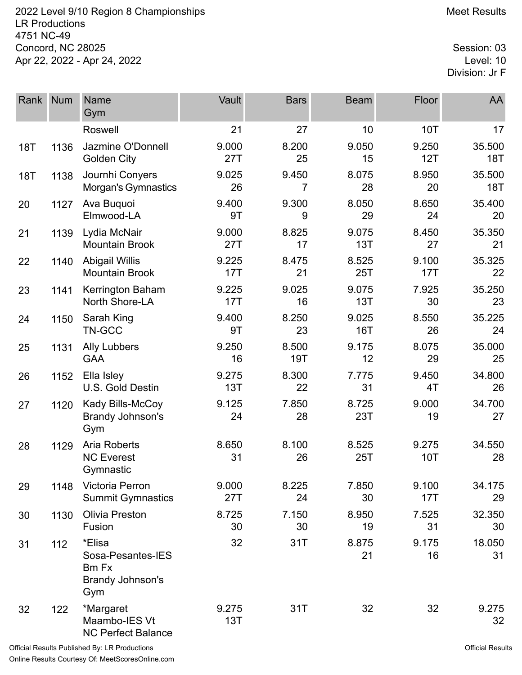2022 Level 9/10 Region 8 Championships **Meet Results** Meet Results LR Productions 4751 NC-49 Concord, NC 28025 Session: 03<br>Apr 22, 2022 - Apr 24, 2022 Apr 22, 2022 - Apr 24, 2022

Division: Jr F

| Rank       | <b>Num</b> | <b>Name</b><br>Gym                                                     | Vault        | <b>Bars</b>         | <b>Beam</b>  | Floor               | AA                   |
|------------|------------|------------------------------------------------------------------------|--------------|---------------------|--------------|---------------------|----------------------|
|            |            | Roswell                                                                | 21           | 27                  | 10           | <b>10T</b>          | 17                   |
| <b>18T</b> | 1136       | Jazmine O'Donnell<br><b>Golden City</b>                                | 9.000<br>27T | 8.200<br>25         | 9.050<br>15  | 9.250<br>12T        | 35.500<br><b>18T</b> |
| <b>18T</b> | 1138       | Journhi Conyers<br>Morgan's Gymnastics                                 | 9.025<br>26  | 9.450<br>7          | 8.075<br>28  | 8.950<br>20         | 35.500<br>18T        |
| 20         | 1127       | Ava Buquoi<br>Elmwood-LA                                               | 9.400<br>9T  | 9.300<br>9          | 8.050<br>29  | 8.650<br>24         | 35.400<br>20         |
| 21         | 1139       | Lydia McNair<br><b>Mountain Brook</b>                                  | 9.000<br>27T | 8.825<br>17         | 9.075<br>13T | 8.450<br>27         | 35.350<br>21         |
| 22         | 1140       | <b>Abigail Willis</b><br><b>Mountain Brook</b>                         | 9.225<br>17T | 8.475<br>21         | 8.525<br>25T | 9.100<br>17T        | 35.325<br>22         |
| 23         | 1141       | Kerrington Baham<br>North Shore-LA                                     | 9.225<br>17T | 9.025<br>16         | 9.075<br>13T | 7.925<br>30         | 35.250<br>23         |
| 24         | 1150       | Sarah King<br>TN-GCC                                                   | 9.400<br>9T  | 8.250<br>23         | 9.025<br>16T | 8.550<br>26         | 35.225<br>24         |
| 25         | 1131       | <b>Ally Lubbers</b><br><b>GAA</b>                                      | 9.250<br>16  | 8.500<br><b>19T</b> | 9.175<br>12  | 8.075<br>29         | 35.000<br>25         |
| 26         | 1152       | Ella Isley<br>U.S. Gold Destin                                         | 9.275<br>13T | 8.300<br>22         | 7.775<br>31  | 9.450<br>4T         | 34.800<br>26         |
| 27         | 1120       | Kady Bills-McCoy<br>Brandy Johnson's<br>Gym                            | 9.125<br>24  | 7.850<br>28         | 8.725<br>23T | 9.000<br>19         | 34.700<br>27         |
| 28         | 1129       | <b>Aria Roberts</b><br><b>NC Everest</b><br>Gymnastic                  | 8.650<br>31  | 8.100<br>26         | 8.525<br>25T | 9.275<br><b>10T</b> | 34.550<br>28         |
| 29         | 1148       | Victoria Perron<br><b>Summit Gymnastics</b>                            | 9.000<br>27T | 8.225<br>24         | 7.850<br>30  | 9.100<br>17T        | 34.175<br>29         |
| 30         | 1130       | <b>Olivia Preston</b><br>Fusion                                        | 8.725<br>30  | 7.150<br>30         | 8.950<br>19  | 7.525<br>31         | 32.350<br>30         |
| 31         | 112        | *Elisa<br>Sosa-Pesantes-IES<br><b>Bm Fx</b><br>Brandy Johnson's<br>Gym | 32           | 31T                 | 8.875<br>21  | 9.175<br>16         | 18.050<br>31         |
| 32         | 122        | *Margaret<br>Maambo-IES Vt<br><b>NC Perfect Balance</b>                | 9.275<br>13T | 31T                 | 32           | 32                  | 9.275<br>32          |

Official Results Published By: LR Productions Online Results Courtesy Of: [MeetScoresOnline.com](http://www.meetscoresonline.com)